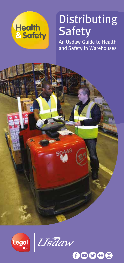

# Distributing Safety

An Usdaw Guide to Health and Safety in Warehouses



Usāaw

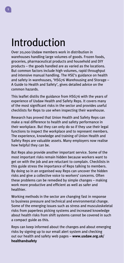## Introduction

Over 20,000 Usdaw members work in distribution in warehouses handling large volumes of goods. Frozen foods, groceries, pharmaceutical products and household and DIY products – the goods handled are as varied as the locations. But common factors include high volumes, rapid throughput and intensive manual handling. The HSE's guidance on health and safety in warehouses, 'HSG76 Warehousing and Storage – A Guide to Health and Safety', gives detailed advice on the common hazards.

This leaflet distils the guidance from HSG76 with the years of experience of Usdaw Health and Safety Reps. It covers many of the most significant risks in the sector and provides useful checklists for Reps to use when inspecting their warehouse.

Research has proved that Union Health and Safety Reps can make a real difference to health and safety performance in their workplace. But they can only do so if they use their legal functions to inspect the workplace and to represent members. The experience, knowledge and training of Union Health and Safety Reps are valuable assets. Many employers now realise how helpful they can be.

But Reps also provide another important service. Some of the most important risks remain hidden because workers want to get on with the job and are reluctant to complain. Checklists in this guide stress the importance of Reps talking to members. By doing so in an organised way Reps can uncover the hidden risks and give a collective voice to workers' concerns. Often these problems can be remedied by simple changes – making work more productive and efficient as well as safer and healthier.

Working methods in the sector are changing fast in response to business pressure and technical and environmental change. Some of the emerging issues such as stress and musculoskeletal risks from paperless picking systems and increased knowledge about health risks from shift systems cannot be covered in such a compact guide as this.

Reps can keep informed about the changes and about emerging risks by signing up to our email alert system and checking out our health and safety web pages – **www.usdaw.org.uk/ healthandsafety**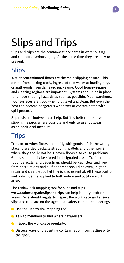# Slips and Trips

Slips and trips are the commonest accidents in warehousing and can cause serious injury. At the same time they are easy to prevent.

#### **Slips**

Wet or contaminated floors are the main slipping hazard. This can be from leaking roofs, ingress of rain water at loading bays or spilt goods from damaged packaging. Good housekeeping and cleaning regimes are important. Systems should be in place to remove slipping hazards as soon as possible. Most warehouse floor surfaces are good when dry, level and clean. But even the best can become dangerous when wet or contaminated with spilt product.

Slip resistant footwear can help. But it is better to remove slipping hazards where possible and only to use footwear as an additional measure.

#### **Trips**

Trips occur when floors are untidy with goods left in the wrong place, discarded package strapping, pallets and other items where they should not be. Uneven floors also cause problems. Goods should only be stored in designated areas. Traffic routes (both vehicular and pedestrian) should be kept clear and free from obstructions and all floor areas should be even, in good repair and clean. Good lighting is also essential. All these control methods must be applied to both indoor and outdoor work areas.

The Usdaw risk mapping tool for slips and trips – **www.usdaw.org.uk/slipsandtrips** can help identify problem areas. Reps should regularly inspect the workplace and ensure slips and trips are on the agenda at safety committee meetings.

- **O** Use the Usdaw risk mapping tool.
- **Talk to members to find where hazards are.**
- **Inspect the workplace regularly.**
- Discuss ways of preventing contamination from getting onto the floor.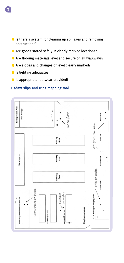- Is there a system for clearing up spillages and removing obstructions?
- Are goods stored safely in clearly marked locations?
- Are flooring materials level and secure on all walkways?
- Are slopes and changes of level clearly marked?
- Is lighting adequate?
- **In appropriate footwear provided?**

#### **Usdaw slips and trips mapping tool**

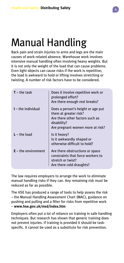### Manual Handling

Back pain and strain injuries to arms and legs are the main causes of work-related absence. Warehouse work involves intensive manual handling often involving heavy weights. But it is not only the weight of the load that can cause problems. Even light objects can cause risks if the work is repetitive; the load is awkward to hold or lifting involves stretching or twisting. A number of risk factors have to be considered.

| $T$ – the task        | Does it involve repetitive work or<br>prolonged effort?<br>Are there enough rest breaks?                                                         |
|-----------------------|--------------------------------------------------------------------------------------------------------------------------------------------------|
| $I$ – the individual  | Does a person's height or age put<br>them at greater risk?<br>Are there other factors such as<br>disability?<br>Are pregnant women more at risk? |
| $L$ – the load        | Is it heavy?<br>Is it awkwardly shaped or<br>otherwise difficult to hold?                                                                        |
| $E -$ the environment | Are there obstructions or space<br>constraints that force workers to<br>stretch or twist?<br>Are there cold draughts?                            |

The law requires employers to arrange the work to eliminate manual handling risks if they can. Any remaining risk must be reduced as far as possible.

The HSE has produced a range of tools to help assess the risk – the Manual Handling Assessment Chart (MAC), guidance on pushing and pulling and a filter for risks from repetitive work – **www.hse.gov.uk/msd/index.htm**

Employers often put a lot of reliance on training in safe handling techniques. But research has shown that generic training does not prevent injuries. If training is provided it should be taskspecific. It cannot be used as a substitute for risk prevention.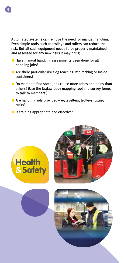Automated systems can remove the need for manual handling. Even simple tools such as trolleys and rollers can reduce the risk. But all such equipment needs to be properly maintained and assessed for any new risks it may bring.

- Have manual handling assessments been done for all handling jobs?
- Are there particular risks eg reaching into racking or inside containers?
- Do members find some jobs cause more aches and pains than others? (Use the Usdaw body mapping tool and survey forms to talk to members.)
- Are handling aids provided eg levellers, trolleys, tilting racks?
- Is training appropriate and effective?





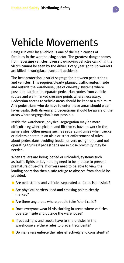# Vehicle Movements

Being run over by a vehicle is one of the main causes of fatalities in the warehousing sector. The greatest danger comes from reversing vehicles. Even slow-moving vehicles can kill if the victim cannot be seen by the driver. Every year 50 to 60 workers are killed in workplace transport accidents.

The best protection is strict segregation between pedestrians and vehicles. This requires clearly planned traffic routes inside and outside the warehouse; use of one-way systems where possible; barriers to separate pedestrian routes from vehicle routes and well-marked crossing points where necessary. Pedestrian access to vehicle areas should be kept to a minimum. Any pedestrians who do have to enter these areas should wear hi-vis vests. Both drivers and pedestrians should be aware of the areas where segregation is not possible.

Inside the warehouse, physical segregation may be more difficult – eg where pickers and lift trucks have to work in the same aisles. Other means such as separating times when trucks or pickers operate in an aisle or strict enforcement of rules about pedestrians avoiding trucks, drivers using horns and not operating trucks if pedestrians are in close proximity may be needed.

When trailers are being loaded or unloaded, systems such as traffic lights or key-holding need to be in place to prevent premature drive-offs. If drivers need to be able to view the loading operation then a safe refuge to observe from should be provided.

- Are pedestrians and vehicles separated as far as is possible?
- Are physical barriers used and crossing points clearly marked?
- Are there any areas where people take 'short cuts'?
- Does everyone wear hi-vis clothing in areas where vehicles operate inside and outside the warehouse?
- $\bigcirc$  If pedestrians and trucks have to share aisles in the warehouse are there rules to prevent accidents?
- Do managers enforce the rules effectively and consistently?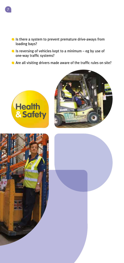

- Is there a system to prevent premature drive-aways from loading bays?
- Is reversing of vehicles kept to a minimum eg by use of one-way traffic systems?
- Are all visiting drivers made aware of the traffic rules on site?





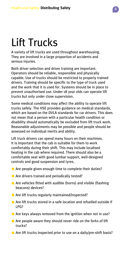# Lift Trucks

A variety of lift trucks are used throughout warehousing. They are involved in a large proportion of accidents and serious injuries.

Both driver selection and driver training are important. Operators should be reliable, responsible and physically capable. Use of trucks should be restricted to properly trained drivers. Training should be specific to the type of truck used and the work that it is used for. Systems should be in place to prevent unauthorised use. Under-18 year olds can operate lift trucks but only under close supervision.

Some medical conditions may affect the ability to operate lift trucks safely. The HSE provides guidance on medical standards, which are based on the DVLA standards for car drivers. This does not mean that a person with a particular health condition or disability should automatically be excluded from lift truck work. Reasonable adjustments may be possible and people should be assessed on individual merits and ability.

Lift truck drivers can spend many hours on their machines. It is important that the cab is suitable for them to work comfortably during their shift. This may include localised heating in the cab where required. There should also be a comfortable seat with good lumbar support, well-designed controls and good suspension and tyres.

- Are people given enough time to complete their duties?
- Are drivers trained and periodically tested?
- Are vehicles fitted with audible (horns) and visible (flashing beacons) devices?
- Are lift trucks regularly maintained/inspected?
- Are lift trucks stored in a safe location and refuelled outside if LPG?
- Are keys always removed from the ignition when not in use?
- Are people aware they should never ride on the forks of lift trucks?
- Are lift trucks inspected prior to use on a daily/pre-shift basis?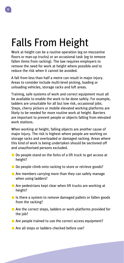## Falls From Height

Work at height can be a routine operation (eg on mezzanine floors or man-up trucks) or an occasional task (eg to remove fallen items from racking). The law requires employers to remove the need for work at height where possible and to reduce the risk when it cannot be avoided.

A fall from less than half a metre can result in major injury. Areas to consider include multi-level picking, loading or unloading vehicles, storage racks and loft areas.

Training, safe systems of work and correct equipment must all be available to enable the work to be done safely. For example, ladders are unsuitable for all but low risk, occasional jobs. Steps, cherry pickers or mobile elevated working platforms are likely to be needed for more routine work at height. Barriers are important to prevent people or objects falling from elevated work stations.

When working at height, falling objects are another cause of major injury. The risk is highest where people are working on storage racks and overloaded or damaged racking. Areas where this kind of work is being undertaken should be sectioned off and unauthorised persons excluded.

- Do people stand on the forks of a lift truck to get access at height?
- Do people climb onto racking to store or retrieve goods?
- Are members carrying more than they can safely manage when using ladders?
- Are pedestrians kept clear when lift trucks are working at height?
- If Is there a system to remove damaged pallets or fallen goods from the racking?
- Are the correct steps, ladders or work-platforms provided for the job?
- Are people trained to use the correct access equipment?
- Are all steps or ladders checked before use?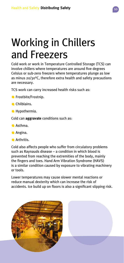## Working in Chillers and Freezers

Cold work or work in Temperature Controlled Storage (TCS) can involve chillers where temperatures are around five degrees Celsius or sub-zero freezers where temperatures plunge as low as minus 20/30°C, therefore extra health and safety precautions are necessary.

TCS work can carry increased health risks such as:

- **G** Frostbite/Frostnip.
- **Chilblains.**
- **A** Hypothermia.

Cold can **aggravate** conditions such as:

- Asthma.
- **Angina.**
- **Arthritis**

Cold also affects people who suffer from circulatory problems such as Raynauds disease – a condition in which blood is prevented from reaching the extremities of the body, mainly the fingers and toes. Hand Arm Vibration Syndrome (HAVS) is a similar condition caused by exposure to vibrating machinery or tools.

Lower temperatures may cause slower mental reactions or reduce manual dexterity which can increase the risk of accidents. Ice build up on floors is also a significant slipping risk.

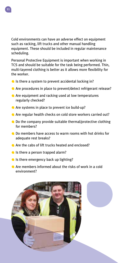Cold environments can have an adverse effect on equipment such as racking, lift trucks and other manual handling equipment. These should be included in regular maintenance scheduling.

Personal Protective Equipment is important when working in TCS and should be suitable for the task being performed. Thin, multi-layered clothing is better as it allows more flexibility for the worker.

- $\blacksquare$  Is there a system to prevent accidental locking in?
- Are procedures in place to prevent/detect refrigerant release?
- Are equipment and racking used at low temperatures regularly checked?
- Are systems in place to prevent ice build-up?
- Are regular health checks on cold store workers carried out?
- Do the company provide suitable thermal/protective clothing for members?
- Do members have access to warm rooms with hot drinks for adequate rest breaks?
- Are the cabs of lift trucks heated and enclosed?
- Is there a person trapped alarm?
- $\blacksquare$  Is there emergency back up lighting?
- Are members informed about the risks of work in a cold environment?



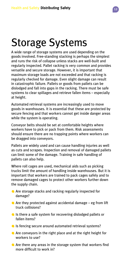## Storage Systems

A wide range of storage systems are used depending on the goods involved. Free-standing stacking is perhaps the simplest and runs the risk of collapse unless stacks are well-built and regularly inspected. Pallet racking is very common and provides versatile and secure storage. However, it is important that maximum storage loads are not exceeded and that racking is regularly checked for damage. Even slight damage can result in catastrophic failure. Pallets or goods from pallets can be dislodged and fall into gaps in the racking. There must be safe systems to clear spillages and retrieve fallen items – especially at height.

Automated retrieval systems are increasingly used to move goods in warehouses. It is essential that these are protected by secure fencing and that workers cannot get inside danger areas while the system is operating.

Conveyor belts should be set at comfortable heights where workers have to pick or pack from them. Risk assessments should ensure there are no trapping points where workers can be dragged into conveyors.

Pallets are widely used and can cause handling injuries as well as cuts and scrapes. Inspection and removal of damaged pallets can limit some of the damage. Training in safe handling of pallets can also help.

Where roll cages are used, mechanical aids such as picking trucks limit the amount of handling inside warehouses. But it is important that workers are trained to pack cages safely and to remove damaged cages to protect other workers further down the supply chain.

- Are storage stacks and racking regularly inspected for damage?
- Are they protected against accidental damage eg from lift truck collisions?
- Is there a safe system for recovering dislodged pallets or fallen items?
- **In Its fencing secure around automated retrieval systems?**
- Are conveyors in the right place and at the right height for workers to use?
- Are there any areas in the storage system that workers find more difficult to work in?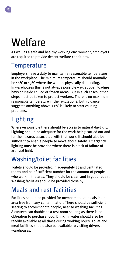# Welfare

As well as a safe and healthy working environment, employers are required to provide decent welfare conditions.

#### **Temperature**

Employers have a duty to maintain a reasonable temperature in the workplace. The minimum temperature should normally be 16°C or 13°C where the work is physically demanding. In warehouses this is not always possible – eg at open loading bays or inside chilled or frozen areas. But in such cases, other steps must be taken to protect workers. There is no maximum reasonable temperature in the regulations, but guidance suggests anything above 27°C is likely to start causing problems.

#### Lighting

Wherever possible there should be access to natural daylight. Lighting should be adequate for the work being carried out and for the hazards associated with that work. It should also be sufficient to enable people to move about safely. Emergency lighting must be provided where there is a risk of failure of artificial light.

#### Washing/toilet facilities

Toilets should be provided in adequately lit and ventilated rooms and be of sufficient number for the amount of people who work in the area. They should be clean and in good repair. Washing facilities should be provided close by.

#### Meals and rest facilities

Facilities should be provided for members to eat meals in an area free from any contamination. There should be sufficient seating to accommodate people, near to washing facilities. A canteen can double as a rest room so long as there is no obligation to purchase food. Drinking water should also be readily available at all times during working hours. Toilet and meal facilities should also be available to visiting drivers at warehouses.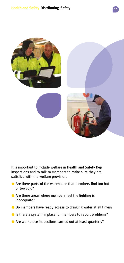

It is important to include welfare in Health and Safety Rep inspections and to talk to members to make sure they are satisfied with the welfare provision.

- Are there parts of the warehouse that members find too hot or too cold?
- Are there areas where members feel the lighting is inadequate?
- Do members have ready access to drinking water at all times?
- In Is there a system in place for members to report problems?
- Are workplace inspections carried out at least quarterly?